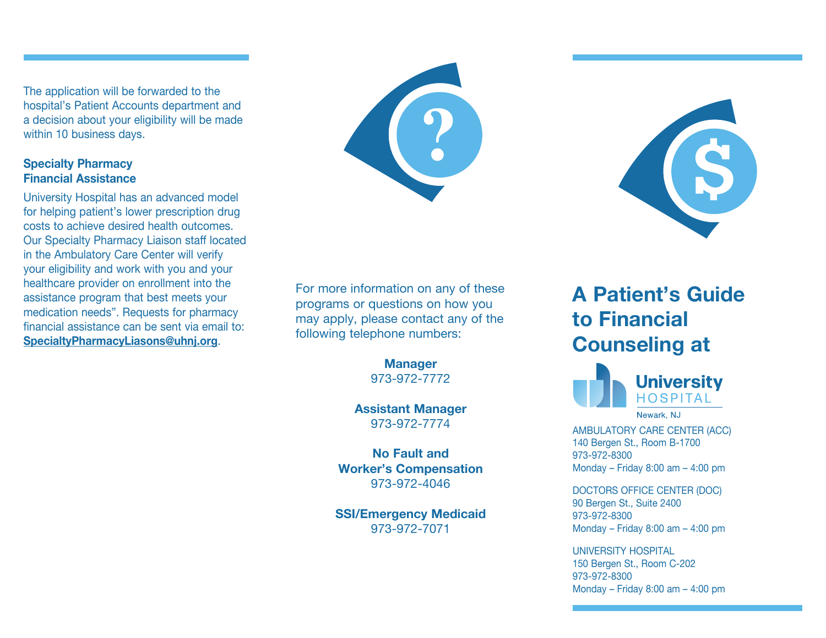The application will be forwarded to the hospital's Patient Accounts department and a decision about your eligibility will be made within 10 business days.

## **Specialty Pharmacy Financial Assistance**

University Hospital has an advanced model for helping patient's lower prescription drug costs to achieve desired health outcomes. Our Specialty Pharmacy Liaison staff located in the Ambulatory Care Center will verify your eligibility and work with you and your healthcare provider on enrollment into the assistance program that best meets your medication needs". Requests for pharmacy financial assistance can be sent via email to: **SpecialtyPharmacyLiasons@uhnj.org**.





For more information on any of these programs or questions on how you may apply, please contact any of the following telephone numbers:

> **Manager** 973-972-7772

**Assistant Manager** 973-972-7774

**No Fault and Worker's Compensation** 973-972-4046

**SSI/Emergency Medicaid** 973-972-7071

# **A Patient's Guide to Financial Counseling at**



Newark, NJ

AMBULATORY CARE CENTER (ACC) 140 Bergen St., Room B-1700 973-972-8300 Monday – Friday 8:00 am – 4:00 pm

DOCTORS OFFICE CENTER (DOC) 90 Bergen St., Suite 2400 973-972-8300 Monday – Friday 8:00 am – 4:00 pm

UNIVERSITY HOSPITAL 150 Bergen St., Room C-202 973-972-8300 Monday – Friday 8:00 am – 4:00 pm